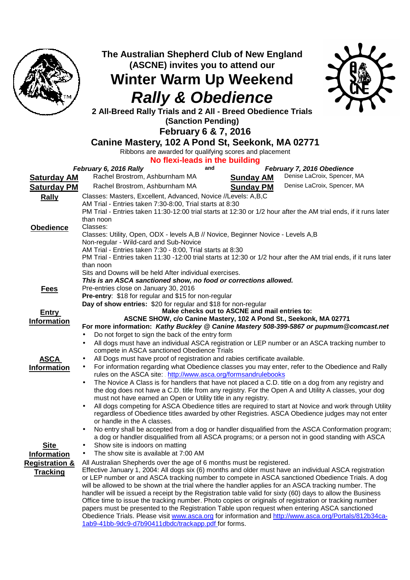

**The Australian Shepherd Club of New England (ASCNE) invites you to attend our** 

**Winter Warm Up Weekend Rally & Obedience** 



**2 All-Breed Rally Trials and 2 All - Breed Obedience Trials** 

**(Sanction Pending)** 

**February 6 & 7, 2016** 

**Canine Mastery, 102 A Pond St, Seekonk, MA 02771** 

Ribbons are awarded for qualifying scores and placement

**No flexi-leads in the building** 

|                           | <b>TO HUAPICAGO III THE DURINING</b><br>and                                                                                                                             |
|---------------------------|-------------------------------------------------------------------------------------------------------------------------------------------------------------------------|
|                           | February 6, 2016 Rally<br>February 7, 2016 Obedience<br>Denise LaCroix, Spencer, MA<br>Rachel Brostrom, Ashburnham MA                                                   |
| <b>Saturday AM</b>        | <b>Sunday AM</b>                                                                                                                                                        |
| <b>Saturday PM</b>        | Denise LaCroix, Spencer, MA<br>Rachel Brostrom, Ashburnham MA<br><b>Sunday PM</b>                                                                                       |
| <b>Rally</b>              | Classes: Masters, Excellent, Advanced, Novice //Levels: A,B,C                                                                                                           |
|                           | AM Trial - Entries taken 7:30-8:00, Trial starts at 8:30                                                                                                                |
|                           | PM Trial - Entries taken 11:30-12:00 trial starts at 12:30 or 1/2 hour after the AM trial ends, if it runs later                                                        |
|                           | than noon                                                                                                                                                               |
| <b>Obedience</b>          | Classes:                                                                                                                                                                |
|                           | Classes: Utility, Open, ODX - levels A,B // Novice, Beginner Novice - Levels A,B                                                                                        |
|                           | Non-regular - Wild-card and Sub-Novice                                                                                                                                  |
|                           | AM Trial - Entries taken 7:30 - 8:00, Trial starts at 8:30                                                                                                              |
|                           | PM Trial - Entries taken 11:30 -12:00 trial starts at 12:30 or 1/2 hour after the AM trial ends, if it runs later                                                       |
|                           | than noon<br>Sits and Downs will be held After individual exercises.                                                                                                    |
|                           | This is an ASCA sanctioned show, no food or corrections allowed.                                                                                                        |
| <u>Fees</u>               | Pre-entries close on January 30, 2016                                                                                                                                   |
|                           | Pre-entry: \$18 for regular and \$15 for non-regular                                                                                                                    |
|                           | Day of show entries: \$20 for regular and \$18 for non-regular                                                                                                          |
| <u>Entry</u>              | Make checks out to ASCNE and mail entries to:                                                                                                                           |
| <b>Information</b>        | ASCNE SHOW, c/o Canine Mastery, 102 A Pond St., Seekonk, MA 02771                                                                                                       |
|                           | For more information: Kathy Buckley @ Canine Mastery 508-399-5867 or pupmum@comcast.net                                                                                 |
|                           | Do not forget to sign the back of the entry form<br>$\bullet$                                                                                                           |
|                           | All dogs must have an individual ASCA registration or LEP number or an ASCA tracking number to<br>$\bullet$                                                             |
|                           | compete in ASCA sanctioned Obedience Trials                                                                                                                             |
| <b>ASCA</b>               | All Dogs must have proof of registration and rabies certificate available.<br>$\bullet$                                                                                 |
| <b>Information</b>        | For information regarding what Obedience classes you may enter, refer to the Obedience and Rally<br>$\bullet$                                                           |
|                           | rules on the ASCA site: http://www.asca.org/formsandrulebooks                                                                                                           |
|                           | The Novice A Class is for handlers that have not placed a C.D. title on a dog from any registry and<br>$\bullet$                                                        |
|                           | the dog does not have a C.D. title from any registry. For the Open A and Utility A classes, your dog                                                                    |
|                           | must not have earned an Open or Utility title in any registry.<br>All dogs competing for ASCA Obedience titles are required to start at Novice and work through Utility |
|                           | regardless of Obedience titles awarded by other Registries. ASCA Obedience judges may not enter                                                                         |
|                           | or handle in the A classes.                                                                                                                                             |
|                           | No entry shall be accepted from a dog or handler disqualified from the ASCA Conformation program;                                                                       |
|                           | a dog or handler disqualified from all ASCA programs; or a person not in good standing with ASCA                                                                        |
| <b>Site</b>               | Show site is indoors on matting                                                                                                                                         |
| <b>Information</b>        | The show site is available at 7:00 AM<br>$\bullet$                                                                                                                      |
| <b>Registration &amp;</b> | All Australian Shepherds over the age of 6 months must be registered.                                                                                                   |
| <b>Tracking</b>           | Effective January 1, 2004: All dogs six (6) months and older must have an individual ASCA registration                                                                  |
|                           | or LEP number or and ASCA tracking number to compete in ASCA sanctioned Obedience Trials. A dog                                                                         |
|                           | will be allowed to be shown at the trial where the handler applies for an ASCA tracking number. The                                                                     |
|                           | handler will be issued a receipt by the Registration table valid for sixty (60) days to allow the Business                                                              |
|                           | Office time to issue the tracking number. Photo copies or originals of registration or tracking number                                                                  |
|                           | papers must be presented to the Registration Table upon request when entering ASCA sanctioned                                                                           |
|                           | Obedience Trials. Please visit www.asca.org for information and http://www.asca.org/Portals/812b34ca-                                                                   |
|                           | 1ab9-41bb-9dc9-d7b90411dbdc/trackapp.pdf for forms.                                                                                                                     |